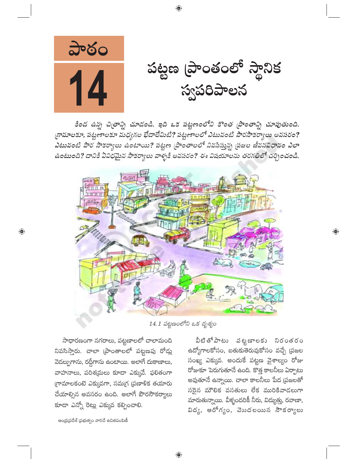

కింద ఉన్న చిత్రాన్ని చూడండి. ఇది ఒక పట్టణంలోని కొంత ప్రాంతాన్ని చూపుతుంది. గ్రామాలకూ, పట్టణాలకూ మధ్యగల భేదాలేమిటి? పట్టణాలలో ఎటువంటి పౌరసౌకర్యాలు అవసరం? .<br>ఎటువంటి పౌర సౌకర్యాలు ఉంటాయి? పట్టణ ప్రాంతాలలో నివసిస్తున్న ప్రజల జీవనవిధానం ఎలా ఉంటుంది? దానికి ఏవిధమైన సౌకర్యాలు వాళ్ళకి అవసరం? ఈ విషయాలను తరగతిలో చర్చించండి.



14.1 పట్టణంలోని ఒక దృశ్యం

సాధారణంగా నగరాలు, పట్టణాలలో చాలామంది నివసిస్తారు. చాలా (పాంతాలలో పట్టణపు రోడ్లు వెడల్పుగాను, రద్దీగాను ఉంటాయి. అలాగే దుకాణాలు, వాహనాలు, పరిశ్రమలు కూడా ఎక్కువే. ఫలితంగా గ్రామాలకంటె ఎక్కువగా, సమగ్ర (పణాళిక తయారు చేయాల్సిన అవసరం ఉంది. అలాగే పౌరసౌకర్యాలు కూడా ఎన్నో రెట్లు ఎక్కువ కల్పించాలి.

ఆంధ్రప్రదేశ్ (పభుత్వం వారిచే ఉచితపంపిణీ

 $\overline{\mathbb{Q}}$ 

వీటితో పాటు వట్టణాలకు నిరంతరం ఉద్యోగాలకోసం, బతుకుతెరువుకోసం వచ్చే (పజల సంఖ్య ఎక్కువ. అందుకే పట్టణ వైశాల్యం రోజు రోజుకూ పెరుగుతూనే ఉంది. కొత్త కాలనీలు ఏర్పాటు అవుతూనే ఉన్నాయి. చాలా కాలనీలు పేద (పజలతో సరైన మౌలిక వసతులు లేక మురికివాడలుగా మారుతున్నాయి. వీళ్ళందరికీ నీరు, విద్యుత్తు, రవాణా, విద్య, ఆరోగ్యం, వెబదలయిన సౌకర్యాలు  $\overline{\mathbb{Q}}$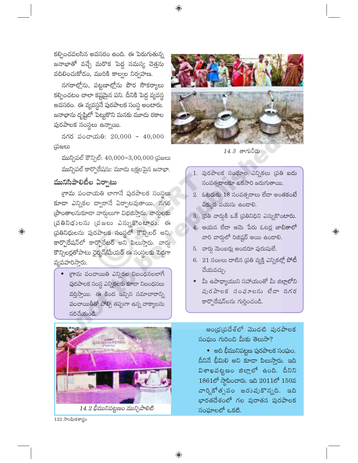కల్పించవలసిన అవసరం ఉంది. ఈ పెరుగుతున్న జనాభాతో వచ్చే మరొక పెద్ద సమస్య చెత్తను వదిలించుకోడం, మురికి కాల్వల నిర్వహణ.

నగరాల్లోను, పట్టణాల్లోను పౌర సౌకర్యాలు కల్పించటం చాలా కష్టమైన పని. దీనికి పెద్ద వ్యవస్థ అవసరం. ఈ వ్యవస్థనే పురపాలక సంస్థ అంటారు. జనాభాను దృష్టిలో పెట్టుకొని మనకు మూడు రకాల పురపాలక సంస్థలు ఉన్నాయి.

నగర పంచాయతి:  $20,000 - 40,000$ <u>'</u>పజలు

మున్సిపల్ కౌన్సిల్:  $40,000 - 3,00,000$  (పజలు మున్సిపల్ కార్పొరేషను: మూడు లక్షలపైన జనాభా.

## మునిసిపాలిటీల ఏర్పాటు

 $\bigoplus$ 

గ్రామ పంచాయతి లాగానే పురపాలక సంస్థలు కూడా ఎన్నికల ద్వారానే ఏర్పాటవుతాయి. నగర స్థాంతాలనుకూడా వార్శలుగా విభజిస్తారు. వార్శలకు  $\ddot{\omega}$  8 నిధులను (వజలు ఎన్నుకొంటారు. ఈ 'ప్రతినిధులను పురపాలక సంస్థలో కౌన్సిలర్ అని, కార్పొరేషన్లో కార్పొరేటర్ అని పిలుస్తారు. వార్డు కౌన్సిలర్లతోపాటు ఛైర్మన్/మేయర్ ఈ సంస్థలకు పెద్దగా వ్యవహరిస్తారు.

 $\bullet$  (గామ పంచాయితి ఎన్నికల నిబంధనలలాగే 'ఫురపాలక సంస్థ ఎన్నికలకు కూడా నిబంధనలు వర్తిస్తాయి. ఈ కింద ఇచ్చిన సమాచారాన్ని పంచాయితీతో పోల్చి తప్పుగా ఉన్న వాక్యాలను  $\delta$ රිඩ්රාංඨි.



 $122$  సాంఘికశాస్త్రం



 $14.3$  తాగునీరు

- 1. పురపాలక సంఘాల ఎన్నికలు (పతి ఐదు N("K/0p>3Dbcd w^c;<4 }>?.@C./3>..P
- $2.$  ఓటరుకు  $18$  సంవత్సరాలు లేదా అంతకంటే ఎక్కువ వయసు ఉందాలి.
- 3. డ్రతి వార్డుకి ఒకే డ్రతినిధిని ఎన్నుకొంటారు.
- 4. ఆయన లేదా ఆమె పేరు ఓటర్ల జాబితాలో వారి వార్డులో రిజిష్టర్ అయి ఉండాలి.

 $\bigoplus$ 

- 5. వార్డు మెంబర్లు అందరూ పురుషులే.
- 6.  $21$  సంగలు దాటిన (పతి వ్యక్తి ఎన్నికల్లో పోటీ చేయవచ్చు.
- $\bullet$  మీ ఉపాధ్యాయుని సహాయంతో మీ జిల్లాలోని పురపాలక నంభూలను లేదా నగర కార్పొరేషన్లను గుర్తించండి.

ఆం౹ధ౹పదేశ్లో మొదటి పురపాలక N("'i(." @C.4"7 y.bcg /WD.;<®

 $\bullet$  అది భీమునిపట్టణ పురపాలక సంఘం.  $\hat{a}$ ನಿನೆ ಭಿಮಿಲಿ ಅನಿ కూడా పిలుస్తారు. ఇది  $3\sigma$ ఖపట్టణం జిల్లాలో ఉంది. దీనిని  $1861$ లో స్థాపించారు. ఇది  $2011$ లో  $150$ వ వార్షికోత్సవం జరువుకొన్నది. ఇది భారతదేశంలో గల పురాతన పురపాలక  $X$ ) సంఘాలలో ఒకటి.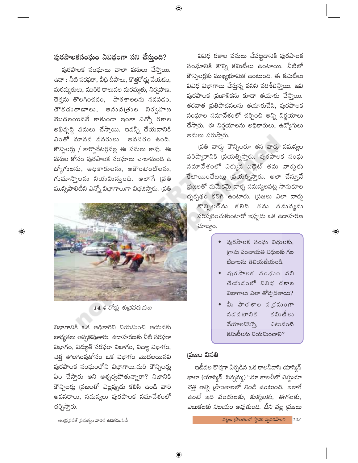# పురపాలకసంఘం ఏవిధంగా పని చేస్తుంది?

 $\bigoplus$ 

పురపాలక సంఘాలు చాలా పనులు చేస్తాయి. ఉదా : నీటి సరఫరా, వీధి దీపాలు, కొత్తరోడ్లు వేయడం, మరమ్మతులు, మురికి కాలువల మరమ్మతు, నిర్వహణ, చెత్తను తొలగించడం, పాఠశాలలను నడపడం, చౌకదుకాణాలు, అనువ(తుల నిర్వహణ మొదలయినవే కాకుండా ఇంకా ఎన్నో రకాల అభివృద్ధి పనులు చేస్తాయి. ఇవన్నీ చేయడానికి ఎంతో మానవ వనరులు అవసరం ఉంది. కౌన్సిలర్లు / కార్పొరేటర్లవల్ల ఈ పనులు కావు. ఈ పనుల కోసం పురపాలక సంఘాలు చాలామంది ఉ ద్యోగులను, అధికారులను, అకౌంటెంట్లను, గుమాసాలను నియమిసుంది. అలాగే (పతి మున్సిపాలిటీని ఎన్నో విభాగాలుగా విభజిస్తారు. (పతి



 $\bigoplus$ 

14.4 రోడ్లు శుభ్రపరుచుట

విభాగానికి ఒక అధికారిని నియమించి ఆయనకు బాధ్యతలు అప్పజెపుతారు. ఉదాహరణకు నీటి సరఫరా విభాగం, విద్యుత్ సరఫరా విభాగం, విద్యా విభాగం, చెత్త తొలగింపుకోసం ఒక విభాగం మొదలయినవి పురపాలక సంఘంలోని విభాగాలు.మరి కౌన్సిలర్లు ఏం చేస్తారు అని ఆశ్చర్యపోతున్నారా? నిజానికి కౌన్సిలర్లు (పజలతో ఎల్లప్పుడు కలిసి ఉండి వారి అవసరాలు, సమస్యలు పురపాలక సమావేశంలో చర్చిస్తారు.

ఆంధ్ర(పదేశ్ (పభుత్వం వారిచే ఉచితపంపిణీ

వివిధ రకాల పనులు చేపట్టడానికి పురపాలక సంఘానికి కొన్ని కమిటీలు ఉంటాయి. వీటిలో కౌన్సిలర్లకు ముఖ్యభూమిక ఉంటుంది. ఈ కమిటీలు వివిధ విభాగాలు చేస్తున్న పనిని పరిశీలిస్తాయి. ఇవి పురపాలక (పణాళికను కూడా తయారు చేస్తాయి. తరవాత (పతిపాదనలను తయారుచేసి, పురపాలక సంఘాల సమావేశంలో చర్చించి అన్ని నిర్ణయాలు చేస్తారు. ఈ నిర్ణయాలను అధికారులు, ఉద్యోగులు అమలు పరుసా్తరు.

(పతి వార్డు కౌన్సిలరూ తన వార్డు సమస్యల పరిష్కారానికి (పయత్నిస్తారు. పురపాలక సంఘ సమావేశంలో ఎక్కువ బడ్జెట్ తమ వార్డుకు కేటాయించేటట్లు (పయత్నిస్తారు. అలా చేస్తూనే ప్రజలతో మమేకమై వాళ్ళ సమస్యలపట్ల సానుకూల దృక్పథం కలిగి ఉంటారు. (పజలు ఎలా వార్డు కౌన్సిలర్ను కలిసి తమ నమన్యను

పరిష్మరించుకుంటారో ఇప్పుడు ఒక ఉదాహరణ చూద్దాం.

> • పురపాలక సంఘ విధులకు, గామ పంచాయతి విధులకు గల భేదాలను తెలియజేయండి.

 $\bigoplus$ 

- ◆ వురపాలక నంఛుం వని చేయుడంలో వివిధ రకాల విభాగాలు ఎలా తోడ్చడతాయి?
- ◆ మీ పాఠశాల న(కమంగా క విుటీ లు నద వటానికి వేయాలనిపిస్తే, ఎటువంటి  $$$ మిటీలను నియమించాలి?

#### (పజల వినతి

ఇటీవల కొత్తగా ఏర్పడిన ఒక కాలనీవాసి యాస్మిన్ ఖాలా (యాస్మిన్ పిన్నమ్మ) "*మా కాలనీలో ఎప్పుడూ* చెత్త అన్ని (పాంతాలలో నిండి ఉంటుంది. ఇలాగే ఉంటే ఇది పందులకు, కుక్కలకు, ఈగలకు, ఎలుకలకు నిలయం అవుతుంది. దీని వల్ల (పజలు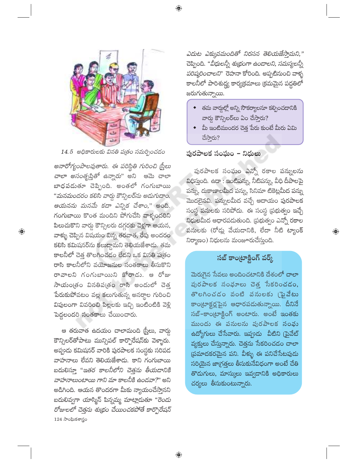

 $14.5$  అధికారులకు వినతి పడతం సమర్పించడం

అనారోగ్యంపాలవుతారు. ఈ పరిస్థితి గురించి స్ర్తీలు *చాలా అసంతృప్తితో ఉన్నారు*" అని ఆమె చాలా బాధపడుతూ చెప్పింది. అంతలో గంగుబాయి "మనమందరం కలిసి వార్డు కౌన్సిలర్ను అడుగుదాం. ఆయనను మనమే కదా ఎన్నిక చేశాం," అంది. గంగుబాయి కొంత మందిని పోగుచేసి వాళ్ళందరిని పిలుచుకొని వార్డు కౌన్సిలరు దగ్గరకు వెళ్లగా ఆయన, వాళ్ళు చెప్పిన విషయం విన్న తరవాత, రేపు అందరం కలిసి కమిషనర్ను కలుద్దామని తెలియజేశాదు. తమ కాలనీలో చెత్త తొలగించడం లేదని ఒక వినతి పత్రం రాసి కాలనీలోని వయోజనుల సంతకాలు తీసుకొని రావాలని గంగుబాయిని కోరాడు. ఆ రోజు సాయంత్రం వినతిపత్రం రాసి అందులో చెత్త పేరుకుపోవటం వల్ల కలుగుతున్న అనర్థాల గురించి విపులంగా వివరించి పిల్లలకు ఇచ్చి ఇంటింటికి వెళ్లి పెద్దలందరి సంతకాలు చేయించారు.

 $\bigoplus$ 

ఆ తరువాత ఉదయం చాలామంది (స్త్రీలు, వార్డు కౌన్సిలర్తోపాటు మున్సిపల్ కార్పొరేషన్కు వెళ్ళారు. అప్పుడు కమిషనర్ వారికి పురపాలక సంస్థకు సరిపడ వాహనాలు లేవని తెలియజేశాదు. కాని గంగుబాయి బదులిస్తూ ''ఇతర కాలనీలోని చెత్తను తీయడానికి వాహనాలుంటాయి గాని మా కాలనీకి ఉండవా?" అని అడిగింది. ఆయన తొందరగా మీకు న్యాయంచేస్తానని బదులివ్వగా యాస్మిన్ పిన్నమ్మ మాట్లాదుతూ "రెండు రోజులలో చెత్తను శుభ్రం చేయించకపోతే కార్పొరేషన్  $124$  సాంఘికశాస్త్రం

ఎదుట ఎక్కువమందితో నిరసన తెలియజేస్తామని," చెప్పింది. "*వీధులన్నీ శుభ్రంగా ఉండాలని, సమస్యలన్నీ పరిష్కరించాలని*" రెహనా కోరింది. అప్పటినుంచి వాళ్ళ కాలనీలో పారిశుద్ద్య కార్యక్రమాలు క్రమమైన పద్ధతిలో జరుగుతున్నాయి.

- తమ వార్డుల్లో అన్ని సౌకర్యాలనూ కల్పించడానికి వార్డు కౌన్సిలర్లు ఏం చేస్తారు?
- $\bullet$  మీ ఇంటిముందర చెత్త పేరు కుంటే మీరు ఏమి చేస్తారు?

పురపాలక సంఘం – నిధులు

పురపాలక సంఘం ఎన్నో రకాల పన్నులను విధిస్తుంది. ఉదా : ఇంటిపన్ను, నీటిపన్ను, వీధి దీపాలపై పన్ను, దుకాణాలమీద పన్ను, సినిమా టికెట్లమీద పన్ను మొదలైనవి. పన్నులమీద వచ్చే ఆదాయం పురపాలక సంస్థ పనులకు సరిపోదు. ఈ సంస్థ (పభుత్వం ఇచ్చే నిధులమీద ఆధారపడుతుంది. (పభుత్వం ఎన్నో రకాల పనులకు (రోడ్లు వేయడానికి, లేదా నీటి ట్యాంక్ నిర్మాణం) నిధులను మంజూరుచేస్తుంది.

## సబ్ కాంట్రాక్టింగ్ వర్క్

 $\bigoplus$ 

మెరుగైన సేవలు అందించటానికి దేశంలో చాలా పురపాలక సంభూలు చెత్త సేకరించడం, తొలగించడం వంటి వనులకు (ఫైవేటు కాంట్రాక్టర్లపైన ఆధారపడుతున్నాయి. దీనినే  $\tilde{\mathcal{S}}$ బ్-కాంట్రాక్టింగ్ అంటారు. అంటే ఇంతకు ముందు ఈ పనులను పురపాలక సంఘ ఉద్యోగులు చేసేవారు. ఇప్పుడు వీటిని (పైవేట్ వ్యక్తులు చేస్తున్నారు. చెత్తను సేకరించడం చాలా (పమాదకరమైన పని. వీళ్ళు ఈ పనిచేసేటపుడు సరియైన జాగ్రత్తలు తీసుకునేవిధంగా అంటే చేతి తొడుగులు, మాస్కులు ఇవ్వడానికి అధికారులు చర్యలు తీసుకుంటున్నారు.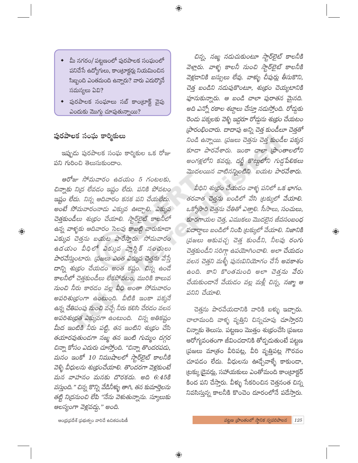మీ నగరం/ పట్టణంలో పురపాలక సంఘంలో పనిచేసే ఉద్యోగులు, కాంట్రాక్టర్లు నియమించిన సిబ్బంది ఎంతమంది ఉన్నారు? వారు ఎదుర్కొనే సమస్యలు ఏవి?

 $\bigoplus$ 

పురపాలక సంఘాలు సబ్ కాం(టాక్ట్ వైపు ఎందుకు మొగ్గు చూపుతున్నాయి?

### పురపాలక సంఘ కార్మికులు

 $\bigoplus$ 

ఇప్పుడు పురపాలక సంఘ కార్మికుల ఒక రోజు పని గురించి తెలుసుకుందాం.

ఆరోజు సోమవారం ఉదయం 5 గంటలకు, చిన్నాకు ని(ద లేవడం ఇష్టం లేదు. పనికి పోవటం ఇష్టం లేదు. నిన్న ఆదివారం కనక పని చేయలేదు. అంటే సోమవారంనాడు ఎక్కువ ఊడ్చాలి. ఎక్కువ చెత్తకుండీలు శుభ్రం చేయాలి. స్టార్ఐైట్ కాలనీలో ఉన్న వాళ్ళకు ఆదివారం సెలవు కాబట్టి వారుకూడా ఎక్కువ చెత్తను బయట పారేస్తారు. సోమవారం ఉదయం వీధిలో ఎక్కువ ప్లాస్టిక్ సంచులు పారవేస్తుంటారు. (పజలు ఎంత ఎక్కువ చెత్తను వేస్తే దాన్ని శుభ్రం చేయడం అంత కష్టం. చిన్న ఉండే కాలనీలో చెత్తకుండీలు లేకపోవటం, మురికి కాలువ నుంచి నీరు కారడం వల్ల వీధి అంతా సోమవారం అపరిశుభ్రంగా ఉంటుంది. వీటికి ఇంకా పక్కనే ఉన్న చేతిపంపు నుంచి వచ్చే నీరు కలిసి చేరడం వలన అపరిశుభ్రత ఎక్కువగా ఉంటుంది. చిన్న అతికష్టం మీద ఇంటికి నీరు పట్టి, తన ఇంటిని శుభ్రం చేసి తయారవుతుండగా నజ్మ తన ఇంటి గుమ్మం దగ్గర చిన్నా కోసం ఎదురు చూస్తోంది. "చిన్నా తొందరపడు, మనం ఇంకో 10 నిముషాలలో స్టార్ఐైట్ కాలనీకి వెళ్ళి వీధులను శుభ్రంచేయాలి. తొందరగా వెళ్లకుంటే మన వాహనం మనకు దొరకదు. అది 6:45కి వస్తుంది." చిన్న కొన్ని వేడినీళ్ళు తాగి, తన కుమార్తెలను తట్టి నిద్రనుంచి లేపి "నేను వెళుతున్నాను. స్మూలుకు ఆలస్యంగా వెళ్లవద్దు," అంది.

చిన్న, నజ్మ నడుచుకుంటూ స్టార్ఐైట్ కాలనీకి వెళ్లారు. వాళ్ళ కాలనీ నుంచి స్టార్టెైట్ కాలనీకి వెళ్లడానికి బస్సులు లేవు. వాళ్ళు చీపుర్లు తీసుకొని, చెత్త బండిని నడుపుకొంటూ, శుభ్రం చెయ్యటానికి పూనుకున్నారు. ఆ బండి చాలా పురాతన మైనది. అది ఎన్నో రకాల శబ్దాలు చేస్తూ నడుస్తోంది. రోడ్డుకు రెందు పక్కలకు వెళ్ళి ఇద్దరూ రోడ్డును శుభ్రం చేయటం (పారంభించారు. దాదాపు అన్ని చెత్త కుండీలూ చెత్తతో నిండి ఉన్నాయి. (పజలు చెత్తను చెత్త కుండీల పక్కన కూడా పారవేశారు. ఇంకా చాలా (పాంతాలలోని అంగళ్లలోని కవర్లు, దర్జీ కొట్టులోని గుడ్డపేలికలు మొదలయిన వాటినన్నింటిని బయట పారవేశారు.

వీధిని శుభ్రం చేయడం వాళ్ళ పనిలో ఒక భాగం. తరవాత చెత్తను బండిలో వేసి ట్రక్కులో వేయాలి. ఒక్కోసారి చెత్తను చేతితో ఎత్తాలి. సీసాలు, సంచులు, కూరగాయల చెత్త, ఎముకలు మొదలైన జీవసంబంధ పదార్థాలు బండిలో నింపి ట్రక్కులో వేయాలి. నిజానికి (పజలు ఆకుపచ్చ చెత్త కుండీని, నీలపు రంగు చెత్తకుండీని సరిగ్గా ఉపయోగించాలి. అలా చేయడం వలన చెత్తని మళ్ళీ పునఃవినియోగం చేసే అవకాశం ఉంది. కాని కొంతమంది అలా చెత్తను వేరు చేయకుండానే వేయడం వల్ల మళ్లీ చిన్న, నజ్మా ఆ పనిని చేయాలి.

 $\bigoplus$ 

చెత్తను పారవేయడానికి వారికి బళ్ళు ఇచ్చా<mark>రు.</mark> చాలామంది వాళ్ళ వృత్తిని చిన్నచూపు చూస్తారని చిన్నాకు తెలుసు. పట్టణం మొత్తం శుభ్రంచేసి (పజలు ఆరోగ్యవంతంగా జీవించడానికి తోడ్పదుతుంటే పట్టణ వ్రజలు మాత్రం వీరిపట్ల, వీరి వృత్తిపట్ల గౌరవ<mark>ం</mark> చూపడం లేదు. వీధులను ఊడ్చేవాళ్ళే కాకుండా, ట్రక్కు డైవర్లు, సహాయకులు ఎంతోమంది కాంట్రాక్టర్ కింద పని చేస్తారు. వీళ్ళు సేకరించిన చెత్తనంత చిన్న నివసిస్తున్న కాలనీకి కొంచెం దూరంలోనే పడేస్తారు.

ఆంధ్ర(పదేశ్ (పభుత్వం వారిచే ఉచితపంపిణీ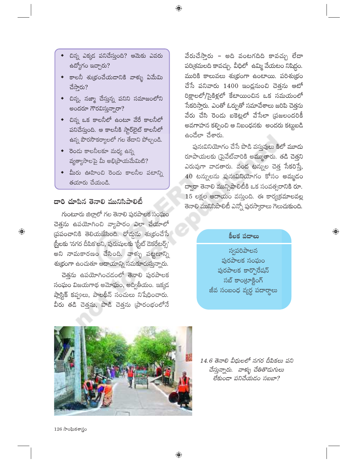- $\bullet$  చిన్న ఎక్కడ పనిచేస్తుంది? ఆమెకు ఎవరు ఉద్యోగం ఇచ్చారు?
- $\bullet$  కాలనీ శుభ్రంచేయడానికి వాళ్ళు ఏమేమి చేస్తారు?
- $\bullet$  చిన్న, నజ్మా చేస్తున్న పనిని సమాజంలోని అందరూ గౌరవిస్తున్నారా?
- చిన్న ఒక కాలనీలో ఉంటూ వేరే కాలనీలో పనిచేస్తుంది. ఆ కాలనీకి స్టార్అైట్ కాలనీలో ఉన్న పౌరసౌకర్యాలలో గల తేదాని పోల్చండి.
- $\bullet$  రెండు కాలనీలకూ మధ్య ఉన్న వృత్యాసాలపై మీ అభి(పాయమేమిటి?
- ◆ మీరు ఊహించి రెండు కాలనీల పటాన్ని తయారు చేయండి.

### దారి చూపిన తెనాలి మునిసిపాలిటీ

 $\bigoplus$ 

గుంటూరు జిల్లాలో గల తెనాలి పురపాలక సంఘం చెత్తను ఉపయోగించి వ్యాపారం ఎలా చేయాలో ప్రపంచానికి తెలియజేసింది. రోడ్డును శుభ్రంచేసే 'స్త్రీలకు 'నగర దీపిక'లని, పురుషులకు 'స్టీట్ డెకరేటర్స్' \_<br>అని నామకారణం చేసింది. వాళ్ళు పట్టణాన్ని శుథ్రంగా ఉంచుతూ ఆదాయాన్ని సమకూరుస్తున్నారు.

చెత్తను ఉపయోగించడంలో తెనాలి పురపాలక సంఘం విజయగాథ అమోఘం, అద్వితీయం. ఇక్కడ ప్లాస్టిక్ కప్పులు, పాలథీన్ సంచులు నిషేధించారు. వీరు తడి చెత్తను, పొడి చెత్తను (పారంభంలోనే

వేరుచేస్తారు – అది వంటగదిది కావచ్చు లేదా పరి[శమలది కావచ్చు. వీధిలో ఉమ్మి వేయటం నిషిద్ధం. మురికి కాలువలు శుభ్రంగా ఉంటాయి. పరిశుభ్రం చేసే పనివారు 1400 ఇంద్లనుంచి చెత్తను ఆటో రిక్షాలలో/సైకిళ్లలో కేటాయించిన ఒక సమయంలో సేకరిస్తారు. ఎంతో ఓర్పుతో సమావేశాలు జరిపి చెత్తను వేరు చేసి రెండు బకెట్లలో వేసేలా (పజలందరికీ అవగాహన కల్పించి ఆ నిబంధనకు అందరు కట్టుబడి ఉండేలా చేశారు.

పునఃవినియోగం చేసే పొడి వస్తువులు కిలో మూడు రూపాయలకు (పైవేట్వారికి అమ్ముతారు. తడి చెత్తని ఎరువుగా వాడతారు. వంద టన్నుల చెత్త సేకరిస్తే, 40 టస్నులను పునఃవినియోగం కోసం అమ్మదం ద్వారా తెనాలి మున్సిపాలిటీకి ఒక సంవత్సరానికి రూ.  $15$  లక్షల ఆదాయం వస్తుంది. ఈ కార్య(క్రమాలవల్ల తెనాలి మునిసిపాలిటీ ఎన్నో పురస్కారాలు గెలుచుకుంది.

### కీలక పదాలు

 $\bigoplus$ 

స్వపరిపాలన పురపాలక సంఘం పురపాలక కార్పొరేషన్ సబ్ కాంట్రాక్టింగ్ జీవ సంబంధ వ్యర్థ పదార్థాలు



14.6 తెనాలి వీధులలో నగర దీపికలు పని చేస్తున్నారు. వాళ్ళు చేతితొడుగులు లేకుండా పనిచేయడం సబబా?

 $126 \text{ } \partial$ ంఘికశాస్త్రం